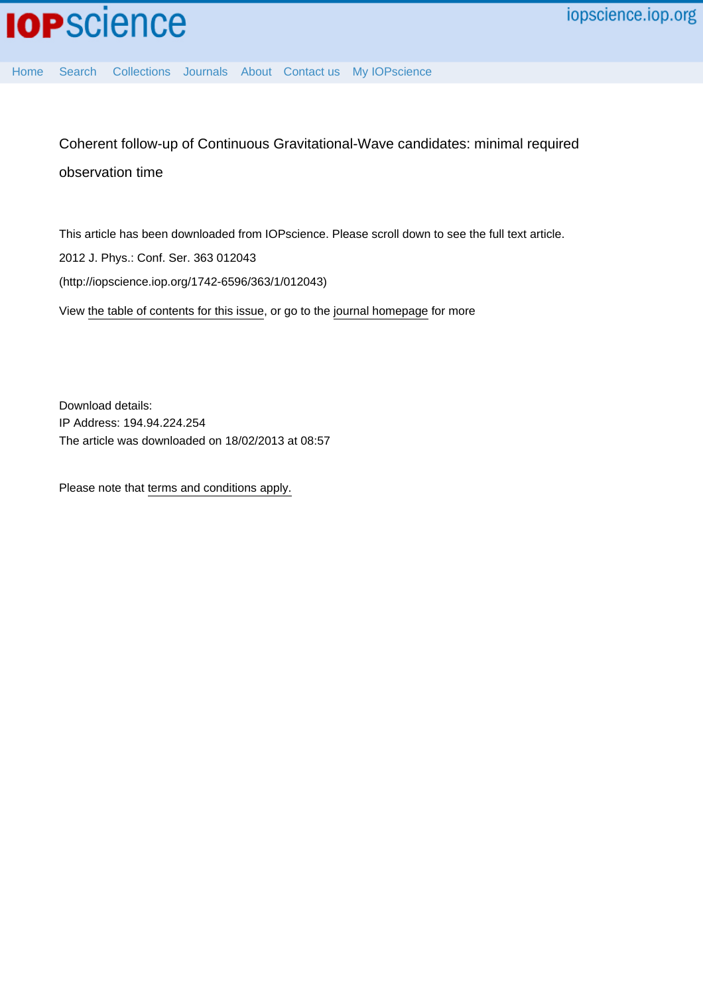

[Home](http://iopscience.iop.org/) [Search](http://iopscience.iop.org/search) [Collections](http://iopscience.iop.org/collections) [Journals](http://iopscience.iop.org/journals) [About](http://iopscience.iop.org/page/aboutioppublishing) [Contact us](http://iopscience.iop.org/contact) [My IOPscience](http://iopscience.iop.org/myiopscience)

Coherent follow-up of Continuous Gravitational-Wave candidates: minimal required observation time

This article has been downloaded from IOPscience. Please scroll down to see the full text article. 2012 J. Phys.: Conf. Ser. 363 012043 (http://iopscience.iop.org/1742-6596/363/1/012043) View [the table of contents for this issue](http://iopscience.iop.org/1742-6596/363/1), or go to the [journal homepage](http://iopscience.iop.org/1742-6596) for more

Download details: IP Address: 194.94.224.254 The article was downloaded on 18/02/2013 at 08:57

Please note that [terms and conditions apply.](http://iopscience.iop.org/page/terms)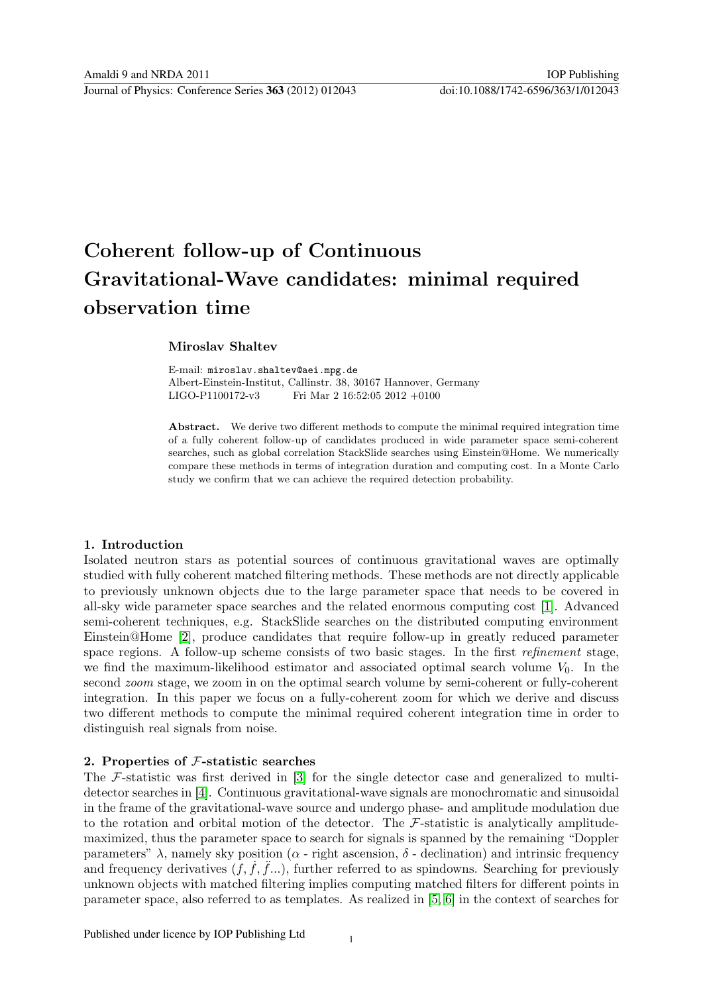# Coherent follow-up of Continuous Gravitational-Wave candidates: minimal required observation time

# Miroslav Shaltev

E-mail: miroslav.shaltev@aei.mpg.de Albert-Einstein-Institut, Callinstr. 38, 30167 Hannover, Germany LIGO-P1100172-v3 Fri Mar 2 16:52:05 2012 +0100

Abstract. We derive two different methods to compute the minimal required integration time of a fully coherent follow-up of candidates produced in wide parameter space semi-coherent searches, such as global correlation StackSlide searches using Einstein@Home. We numerically compare these methods in terms of integration duration and computing cost. In a Monte Carlo study we confirm that we can achieve the required detection probability.

# 1. Introduction

Isolated neutron stars as potential sources of continuous gravitational waves are optimally studied with fully coherent matched filtering methods. These methods are not directly applicable to previously unknown objects due to the large parameter space that needs to be covered in all-sky wide parameter space searches and the related enormous computing cost [\[1\]](#page-9-0). Advanced semi-coherent techniques, e.g. StackSlide searches on the distributed computing environment Einstein@Home [\[2\]](#page-9-1), produce candidates that require follow-up in greatly reduced parameter space regions. A follow-up scheme consists of two basic stages. In the first refinement stage, we find the maximum-likelihood estimator and associated optimal search volume  $V_0$ . In the second *zoom* stage, we zoom in on the optimal search volume by semi-coherent or fully-coherent integration. In this paper we focus on a fully-coherent zoom for which we derive and discuss two different methods to compute the minimal required coherent integration time in order to distinguish real signals from noise.

# 2. Properties of F-statistic searches

The F-statistic was first derived in [\[3\]](#page-9-2) for the single detector case and generalized to multidetector searches in [\[4\]](#page-9-3). Continuous gravitational-wave signals are monochromatic and sinusoidal in the frame of the gravitational-wave source and undergo phase- and amplitude modulation due to the rotation and orbital motion of the detector. The  $\mathcal{F}\text{-statistic}$  is analytically amplitudemaximized, thus the parameter space to search for signals is spanned by the remaining "Doppler parameters"  $\lambda$ , namely sky position ( $\alpha$  - right ascension,  $\delta$  - declination) and intrinsic frequency and frequency derivatives  $(f, \hat{f}, \hat{f})$ ...), further referred to as spindowns. Searching for previously unknown objects with matched filtering implies computing matched filters for different points in parameter space, also referred to as templates. As realized in [\[5,](#page-9-4) [6\]](#page-9-5) in the context of searches for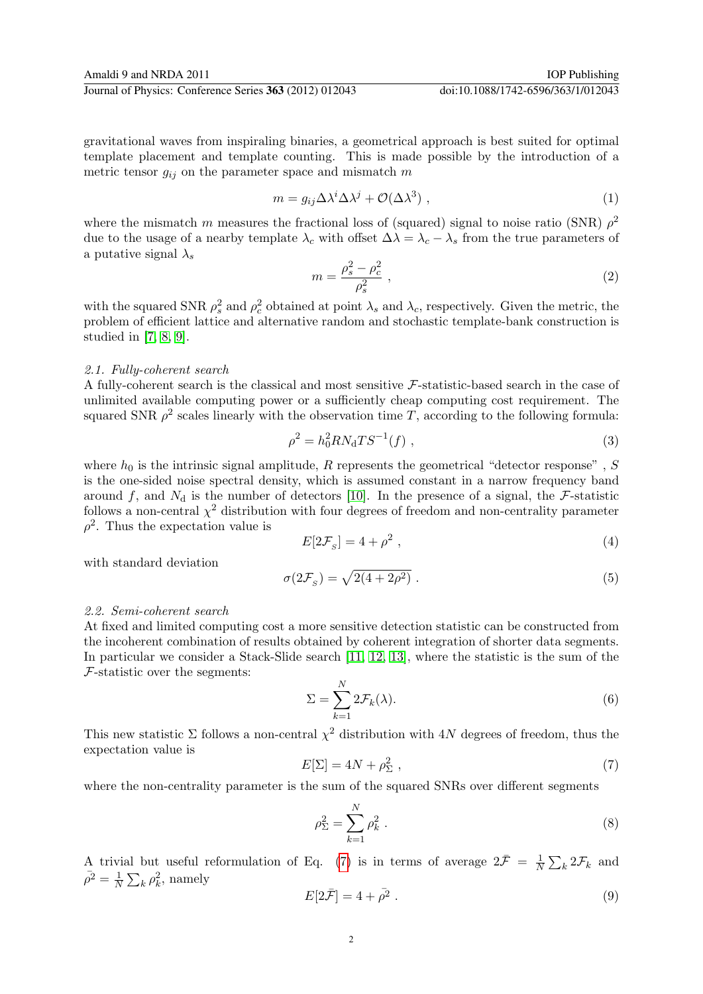gravitational waves from inspiraling binaries, a geometrical approach is best suited for optimal template placement and template counting. This is made possible by the introduction of a metric tensor  $g_{ij}$  on the parameter space and mismatch m

$$
m = g_{ij} \Delta \lambda^i \Delta \lambda^j + \mathcal{O}(\Delta \lambda^3) \tag{1}
$$

where the mismatch m measures the fractional loss of (squared) signal to noise ratio (SNR)  $\rho^2$ due to the usage of a nearby template  $\lambda_c$  with offset  $\Delta\lambda = \lambda_c - \lambda_s$  from the true parameters of a putative signal  $\lambda_s$ 

$$
m = \frac{\rho_s^2 - \rho_c^2}{\rho_s^2} \,, \tag{2}
$$

with the squared SNR  $\rho_s^2$  and  $\rho_c^2$  obtained at point  $\lambda_s$  and  $\lambda_c$ , respectively. Given the metric, the problem of efficient lattice and alternative random and stochastic template-bank construction is studied in [\[7,](#page-9-6) [8,](#page-9-7) [9\]](#page-9-8).

#### 2.1. Fully-coherent search

A fully-coherent search is the classical and most sensitive F-statistic-based search in the case of unlimited available computing power or a sufficiently cheap computing cost requirement. The squared SNR  $\rho^2$  scales linearly with the observation time T, according to the following formula:

<span id="page-2-1"></span>
$$
\rho^2 = h_0^2 R N_{\rm d} T S^{-1}(f) \tag{3}
$$

where  $h_0$  is the intrinsic signal amplitude, R represents the geometrical "detector response", S is the one-sided noise spectral density, which is assumed constant in a narrow frequency band around f, and  $N_d$  is the number of detectors [\[10\]](#page-9-9). In the presence of a signal, the F-statistic follows a non-central  $\chi^2$  distribution with four degrees of freedom and non-centrality parameter  $\rho^2$ . Thus the expectation value is

<span id="page-2-3"></span>
$$
E[2\mathcal{F}_S] = 4 + \rho^2 \t\t(4)
$$

with standard deviation

<span id="page-2-4"></span>
$$
\sigma(2\mathcal{F}_S) = \sqrt{2(4+2\rho^2)}\,. \tag{5}
$$

## 2.2. Semi-coherent search

At fixed and limited computing cost a more sensitive detection statistic can be constructed from the incoherent combination of results obtained by coherent integration of shorter data segments. In particular we consider a Stack-Slide search [\[11,](#page-9-10) [12,](#page-9-11) [13\]](#page-9-12), where the statistic is the sum of the  $\mathcal{F}$ -statistic over the segments:

$$
\Sigma = \sum_{k=1}^{N} 2\mathcal{F}_k(\lambda). \tag{6}
$$

This new statistic  $\Sigma$  follows a non-central  $\chi^2$  distribution with 4N degrees of freedom, thus the expectation value is

<span id="page-2-0"></span>
$$
E[\Sigma] = 4N + \rho_{\Sigma}^2 \t\t(7)
$$

where the non-centrality parameter is the sum of the squared SNRs over different segments

$$
\rho_{\Sigma}^2 = \sum_{k=1}^N \rho_k^2 \ . \tag{8}
$$

A trivial but useful reformulation of Eq. [\(7\)](#page-2-0) is in terms of average  $2\bar{\mathcal{F}} = \frac{1}{\Lambda}$  $\frac{1}{N} \sum_k 2 \mathcal{F}_k$  and  $\bar{\rho}^2 = \frac{1}{\bar{N}}$  $\frac{1}{N} \sum_{k} \rho_k^2$ , namely

<span id="page-2-2"></span>
$$
E[2\bar{\mathcal{F}}] = 4 + \bar{\rho}^2. \tag{9}
$$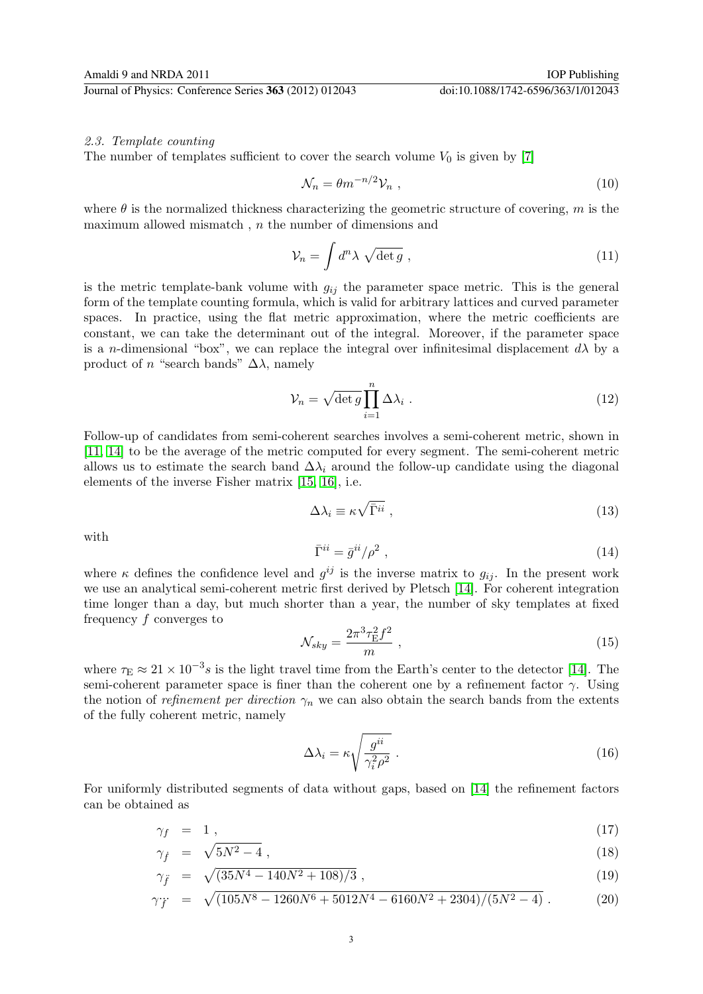The number of templates sufficient to cover the search volume  $V_0$  is given by [\[7\]](#page-9-6)

<span id="page-3-1"></span>
$$
\mathcal{N}_n = \theta m^{-n/2} \mathcal{V}_n \tag{10}
$$

where  $\theta$  is the normalized thickness characterizing the geometric structure of covering, m is the maximum allowed mismatch,  $n$  the number of dimensions and

$$
\mathcal{V}_n = \int d^n \lambda \sqrt{\det g} \;, \tag{11}
$$

is the metric template-bank volume with  $g_{ij}$  the parameter space metric. This is the general form of the template counting formula, which is valid for arbitrary lattices and curved parameter spaces. In practice, using the flat metric approximation, where the metric coefficients are constant, we can take the determinant out of the integral. Moreover, if the parameter space is a n-dimensional "box", we can replace the integral over infinitesimal displacement  $d\lambda$  by a product of n "search bands"  $\Delta\lambda$ , namely

$$
\mathcal{V}_n = \sqrt{\det g} \prod_{i=1}^n \Delta \lambda_i \ . \tag{12}
$$

Follow-up of candidates from semi-coherent searches involves a semi-coherent metric, shown in [\[11,](#page-9-10) [14\]](#page-9-13) to be the average of the metric computed for every segment. The semi-coherent metric allows us to estimate the search band  $\Delta\lambda_i$  around the follow-up candidate using the diagonal elements of the inverse Fisher matrix [\[15,](#page-9-14) [16\]](#page-9-15), i.e.

<span id="page-3-0"></span>
$$
\Delta \lambda_i \equiv \kappa \sqrt{\bar{\Gamma}^{ii}} \;, \tag{13}
$$

with

$$
\bar{\Gamma}^{ii} = \bar{g}^{ii} / \rho^2 \tag{14}
$$

where  $\kappa$  defines the confidence level and  $g^{ij}$  is the inverse matrix to  $g_{ij}$ . In the present work we use an analytical semi-coherent metric first derived by Pletsch [\[14\]](#page-9-13). For coherent integration time longer than a day, but much shorter than a year, the number of sky templates at fixed frequency f converges to

$$
\mathcal{N}_{sky} = \frac{2\pi^3 \tau_{\rm E}^2 f^2}{m} \,,\tag{15}
$$

where  $\tau_{\rm E} \approx 21 \times 10^{-3} s$  is the light travel time from the Earth's center to the detector [\[14\]](#page-9-13). The semi-coherent parameter space is finer than the coherent one by a refinement factor  $\gamma$ . Using the notion of refinement per direction  $\gamma_n$  we can also obtain the search bands from the extents of the fully coherent metric, namely

$$
\Delta \lambda_i = \kappa \sqrt{\frac{g^{ii}}{\gamma_i^2 \rho^2}} \,. \tag{16}
$$

For uniformly distributed segments of data without gaps, based on [\[14\]](#page-9-13) the refinement factors can be obtained as

$$
\gamma_f = 1 \tag{17}
$$

$$
\gamma_f = \sqrt{5N^2 - 4} \,, \tag{18}
$$

$$
\gamma_{\ddot{f}} = \sqrt{(35N^4 - 140N^2 + 108)/3} \,, \tag{19}
$$

$$
\gamma_{\ddot{f}} = \sqrt{(105N^8 - 1260N^6 + 5012N^4 - 6160N^2 + 2304)/(5N^2 - 4)}.
$$
 (20)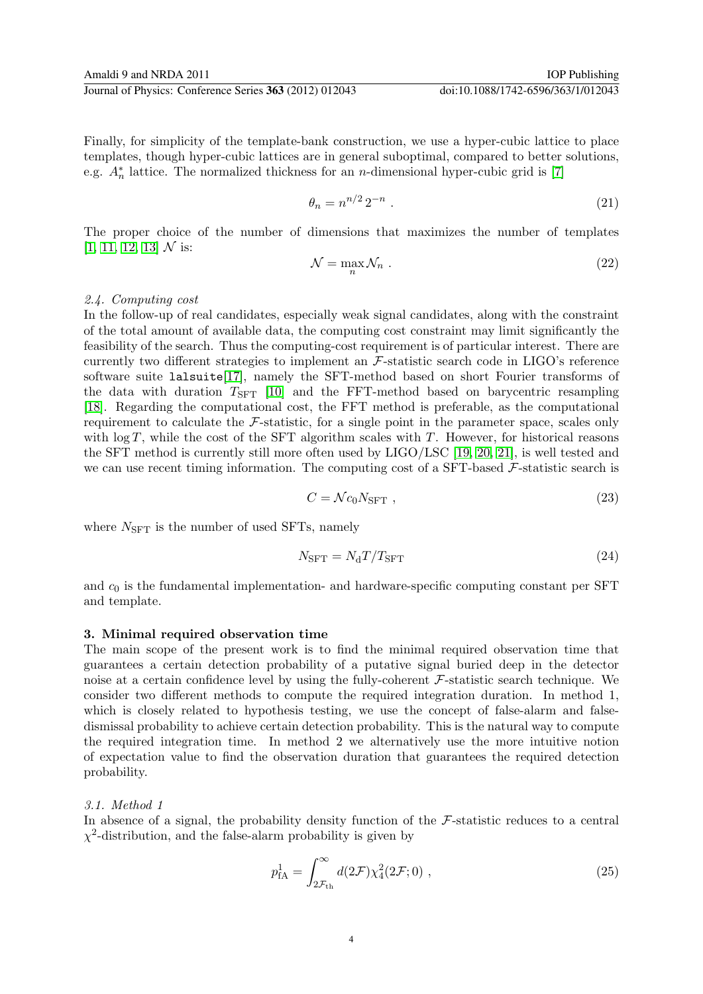Finally, for simplicity of the template-bank construction, we use a hyper-cubic lattice to place templates, though hyper-cubic lattices are in general suboptimal, compared to better solutions, e.g.  $A_n^*$  lattice. The normalized thickness for an *n*-dimensional hyper-cubic grid is [\[7\]](#page-9-6)

$$
\theta_n = n^{n/2} 2^{-n} \tag{21}
$$

The proper choice of the number of dimensions that maximizes the number of templates  $[1, 11, 12, 13]$  $[1, 11, 12, 13]$  $[1, 11, 12, 13]$  $[1, 11, 12, 13]$  N is:

$$
\mathcal{N} = \max_{n} \mathcal{N}_n \tag{22}
$$

## 2.4. Computing cost

In the follow-up of real candidates, especially weak signal candidates, along with the constraint of the total amount of available data, the computing cost constraint may limit significantly the feasibility of the search. Thus the computing-cost requirement is of particular interest. There are currently two different strategies to implement an  $\mathcal{F}\text{-statistic search code}$  in LIGO's reference software suite lalsuite[\[17\]](#page-9-16), namely the SFT-method based on short Fourier transforms of the data with duration  $T_{\text{SFT}}$  [\[10\]](#page-9-9) and the FFT-method based on barycentric resampling [\[18\]](#page-9-17). Regarding the computational cost, the FFT method is preferable, as the computational requirement to calculate the F-statistic, for a single point in the parameter space, scales only with  $\log T$ , while the cost of the SFT algorithm scales with T. However, for historical reasons the SFT method is currently still more often used by LIGO/LSC [\[19,](#page-9-18) [20,](#page-9-19) [21\]](#page-9-20), is well tested and we can use recent timing information. The computing cost of a SFT-based  $\mathcal{F}\text{-statistic search}$  is

$$
C = \mathcal{N}c_0 N_{\text{SFT}} \,, \tag{23}
$$

where  $N_{\text{SFT}}$  is the number of used SFTs, namely

<span id="page-4-0"></span>
$$
N_{\rm SFT} = N_{\rm d}T/T_{\rm SFT} \tag{24}
$$

and  $c_0$  is the fundamental implementation- and hardware-specific computing constant per SFT and template.

## 3. Minimal required observation time

The main scope of the present work is to find the minimal required observation time that guarantees a certain detection probability of a putative signal buried deep in the detector noise at a certain confidence level by using the fully-coherent  $\mathcal{F}\text{-statistic search technique}$ . We consider two different methods to compute the required integration duration. In method 1, which is closely related to hypothesis testing, we use the concept of false-alarm and falsedismissal probability to achieve certain detection probability. This is the natural way to compute the required integration time. In method 2 we alternatively use the more intuitive notion of expectation value to find the observation duration that guarantees the required detection probability.

# 3.1. Method 1

In absence of a signal, the probability density function of the  $\mathcal{F}\text{-statistic reduces to a central}$  $\chi^2$ -distribution, and the false-alarm probability is given by

<span id="page-4-1"></span>
$$
p_{\text{fA}}^1 = \int_{2\mathcal{F}_{\text{th}}}^{\infty} d(2\mathcal{F}) \chi_4^2(2\mathcal{F}; 0) , \qquad (25)
$$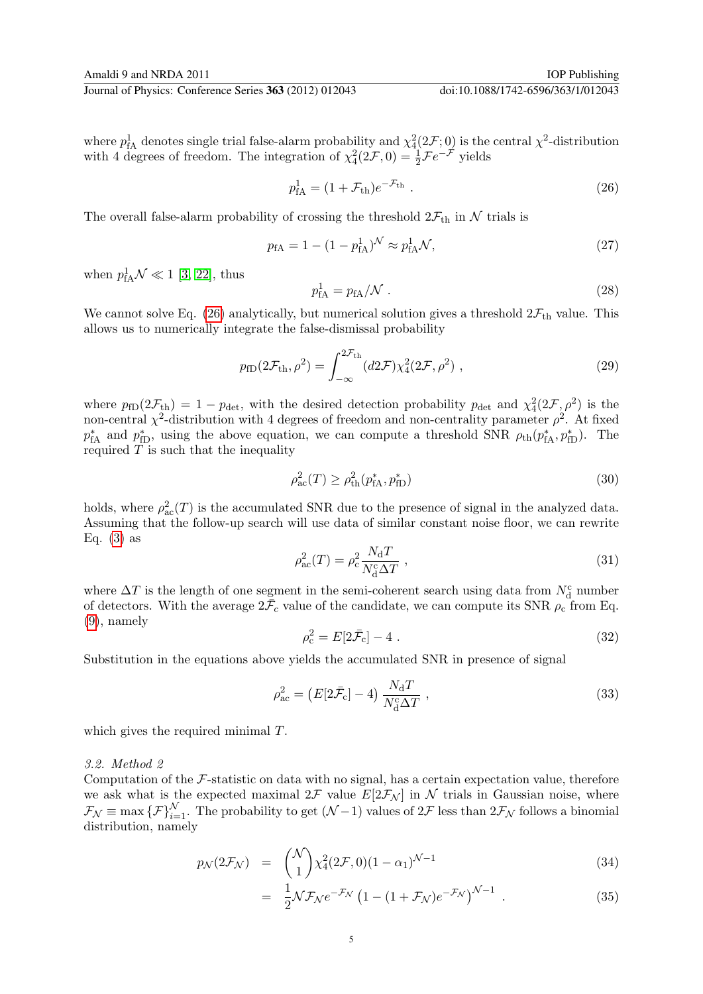where  $p_{\text{fA}}^1$  denotes single trial false-alarm probability and  $\chi_4^2(2\mathcal{F};0)$  is the central  $\chi^2$ -distribution with 4 degrees of freedom. The integration of  $\chi_4^2(2\mathcal{F},0) = \frac{1}{2}\mathcal{F}e^{-\mathcal{F}}$  yields

<span id="page-5-0"></span>
$$
p_{\rm IA}^1 = (1 + \mathcal{F}_{\rm th})e^{-\mathcal{F}_{\rm th}}\,. \tag{26}
$$

The overall false-alarm probability of crossing the threshold  $2\mathcal{F}_{\text{th}}$  in N trials is

$$
p_{\text{fA}} = 1 - (1 - p_{\text{fA}}^1)^{\mathcal{N}} \approx p_{\text{fA}}^1 \mathcal{N},\tag{27}
$$

when  $p_{\text{fA}}^1 \mathcal{N} \ll 1$  [\[3,](#page-9-2) [22\]](#page-9-21), thus

$$
p_{\rm fA}^1 = p_{\rm fA}/\mathcal{N} \ . \tag{28}
$$

We cannot solve Eq. [\(26\)](#page-5-0) analytically, but numerical solution gives a threshold  $2\mathcal{F}_{\text{th}}$  value. This allows us to numerically integrate the false-dismissal probability

<span id="page-5-1"></span>
$$
p_{\text{fD}}(2\mathcal{F}_{\text{th}}, \rho^2) = \int_{-\infty}^{2\mathcal{F}_{\text{th}}}(d2\mathcal{F})\chi_4^2(2\mathcal{F}, \rho^2) , \qquad (29)
$$

where  $p_{fD}(2\mathcal{F}_{th}) = 1 - p_{\text{det}}$ , with the desired detection probability  $p_{\text{det}}$  and  $\chi^2_4(2\mathcal{F}, \rho^2)$  is the non-central  $\chi^2$ -distribution with 4 degrees of freedom and non-centrality parameter  $\rho^2$ . At fixed  $p_{\text{fA}}^*$  and  $p_{\text{fD}}^*$ , using the above equation, we can compute a threshold SNR  $\rho_{\text{th}}(p_{\text{fA}}^*, p_{\text{fD}}^*)$ . The required  $T$  is such that the inequality

<span id="page-5-3"></span>
$$
\rho_{ac}^2(T) \ge \rho_{th}^2(p_{\text{fA}}^*, p_{\text{fD}}^*)
$$
\n(30)

holds, where  $\rho_{ac}^2(T)$  is the accumulated SNR due to the presence of signal in the analyzed data. Assuming that the follow-up search will use data of similar constant noise floor, we can rewrite Eq.  $(3)$  as

$$
\rho_{\rm ac}^2(T) = \rho_{\rm c}^2 \frac{N_{\rm d}T}{N_{\rm d}^{\rm c} \Delta T} \,, \tag{31}
$$

where  $\Delta T$  is the length of one segment in the semi-coherent search using data from  $N^{\text{c}}_{\text{d}}$  number of detectors. With the average  $2\bar{F}_c$  value of the candidate, we can compute its SNR  $\rho_c$  from Eq. [\(9\)](#page-2-2), namely

$$
\rho_{\rm c}^2 = E[2\bar{\mathcal{F}}_{\rm c}] - 4 \tag{32}
$$

Substitution in the equations above yields the accumulated SNR in presence of signal

<span id="page-5-2"></span>
$$
\rho_{\rm ac}^2 = \left(E[2\bar{\mathcal{F}}_{\rm c}] - 4\right) \frac{N_{\rm d}T}{N_{\rm d}^{\rm c}\Delta T} \,,\tag{33}
$$

which gives the required minimal T.

## 3.2. Method 2

Computation of the  $F$ -statistic on data with no signal, has a certain expectation value, therefore we ask what is the expected maximal  $2\mathcal{F}$  value  $E[2\mathcal{F}_{\mathcal{N}}]$  in  $\mathcal{N}$  trials in Gaussian noise, where  $\mathcal{F}_{\mathcal{N}} \equiv \max \{ \mathcal{F} \}_{i=1}^{\mathcal{N}}$ . The probability to get  $(\mathcal{N}-1)$  values of  $2\mathcal{F}$  less than  $2\mathcal{F}_{\mathcal{N}}$  follows a binomial distribution, namely

$$
p_{\mathcal{N}}(2\mathcal{F}_{\mathcal{N}}) = \binom{\mathcal{N}}{1} \chi_4^2(2\mathcal{F}, 0)(1 - \alpha_1)^{\mathcal{N}-1} \tag{34}
$$

$$
= \frac{1}{2} \mathcal{N} \mathcal{F}_{\mathcal{N}} e^{-\mathcal{F}_{\mathcal{N}}} \left( 1 - (1 + \mathcal{F}_{\mathcal{N}}) e^{-\mathcal{F}_{\mathcal{N}}} \right)^{\mathcal{N}-1} \tag{35}
$$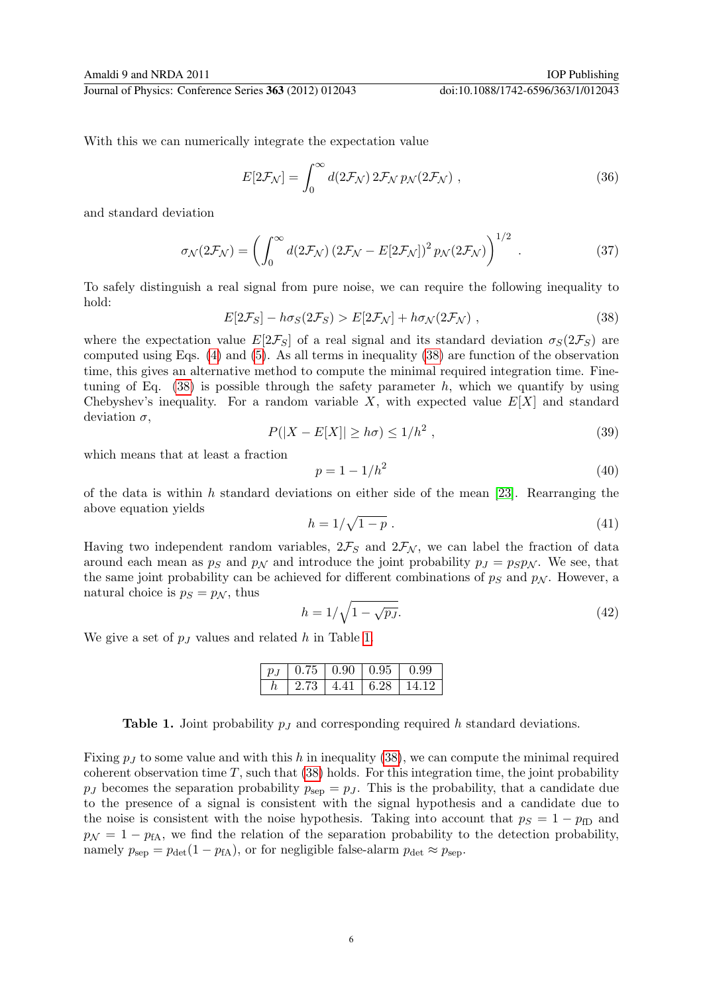With this we can numerically integrate the expectation value

$$
E[2\mathcal{F}_{\mathcal{N}}] = \int_0^\infty d(2\mathcal{F}_{\mathcal{N}}) 2\mathcal{F}_{\mathcal{N}} p_{\mathcal{N}}(2\mathcal{F}_{\mathcal{N}}) , \qquad (36)
$$

and standard deviation

$$
\sigma_{\mathcal{N}}(2\mathcal{F}_{\mathcal{N}}) = \left(\int_0^\infty d(2\mathcal{F}_{\mathcal{N}}) (2\mathcal{F}_{\mathcal{N}} - E[2\mathcal{F}_{\mathcal{N}}])^2 p_{\mathcal{N}}(2\mathcal{F}_{\mathcal{N}})\right)^{1/2} . \tag{37}
$$

To safely distinguish a real signal from pure noise, we can require the following inequality to hold:

<span id="page-6-0"></span>
$$
E[2\mathcal{F}_S] - h\sigma_S(2\mathcal{F}_S) > E[2\mathcal{F}_N] + h\sigma_N(2\mathcal{F}_N) , \qquad (38)
$$

where the expectation value  $E[2\mathcal{F}_S]$  of a real signal and its standard deviation  $\sigma_S(2\mathcal{F}_S)$  are computed using Eqs. [\(4\)](#page-2-3) and [\(5\)](#page-2-4). As all terms in inequality [\(38\)](#page-6-0) are function of the observation time, this gives an alternative method to compute the minimal required integration time. Finetuning of Eq.  $(38)$  is possible through the safety parameter h, which we quantify by using Chebyshev's inequality. For a random variable  $X$ , with expected value  $E[X]$  and standard deviation  $\sigma$ ,

$$
P(|X - E[X]| \ge h\sigma) \le 1/h^2 ,\qquad (39)
$$

which means that at least a fraction

$$
p = 1 - 1/h^2 \tag{40}
$$

of the data is within h standard deviations on either side of the mean [\[23\]](#page-9-22). Rearranging the above equation yields

$$
h = 1/\sqrt{1-p} \tag{41}
$$

Having two independent random variables,  $2\mathcal{F}_S$  and  $2\mathcal{F}_{\mathcal{N}}$ , we can label the fraction of data around each mean as  $p_S$  and  $p_N$  and introduce the joint probability  $p_J = p_S p_N$ . We see, that the same joint probability can be achieved for different combinations of  $p<sub>S</sub>$  and  $p<sub>N</sub>$ . However, a natural choice is  $p_S = p_N$ , thus

$$
h = 1/\sqrt{1 - \sqrt{p_J}}.\tag{42}
$$

We give a set of  $p_j$  values and related h in Table [1.](#page-6-1)

| $p_{J}$ |      | $0.75 \mid 0.90 \mid 0.95 \mid$ | $\begin{array}{c} 0.99 \end{array}$ |
|---------|------|---------------------------------|-------------------------------------|
|         | 2.73 |                                 | $4.41 \pm 6.28 \pm 14.12$           |

<span id="page-6-1"></span>**Table 1.** Joint probability  $p_j$  and corresponding required h standard deviations.

Fixing  $p<sub>I</sub>$  to some value and with this h in inequality [\(38\)](#page-6-0), we can compute the minimal required coherent observation time  $T$ , such that [\(38\)](#page-6-0) holds. For this integration time, the joint probability  $p_J$  becomes the separation probability  $p_{sep} = p_J$ . This is the probability, that a candidate due to the presence of a signal is consistent with the signal hypothesis and a candidate due to the noise is consistent with the noise hypothesis. Taking into account that  $p_S = 1 - p_{fD}$  and  $p_{\mathcal{N}} = 1 - p_{fA}$ , we find the relation of the separation probability to the detection probability, namely  $p_{\rm sep} = p_{\rm det}(1 - p_{\rm fA})$ , or for negligible false-alarm  $p_{\rm det} \approx p_{\rm sep}$ .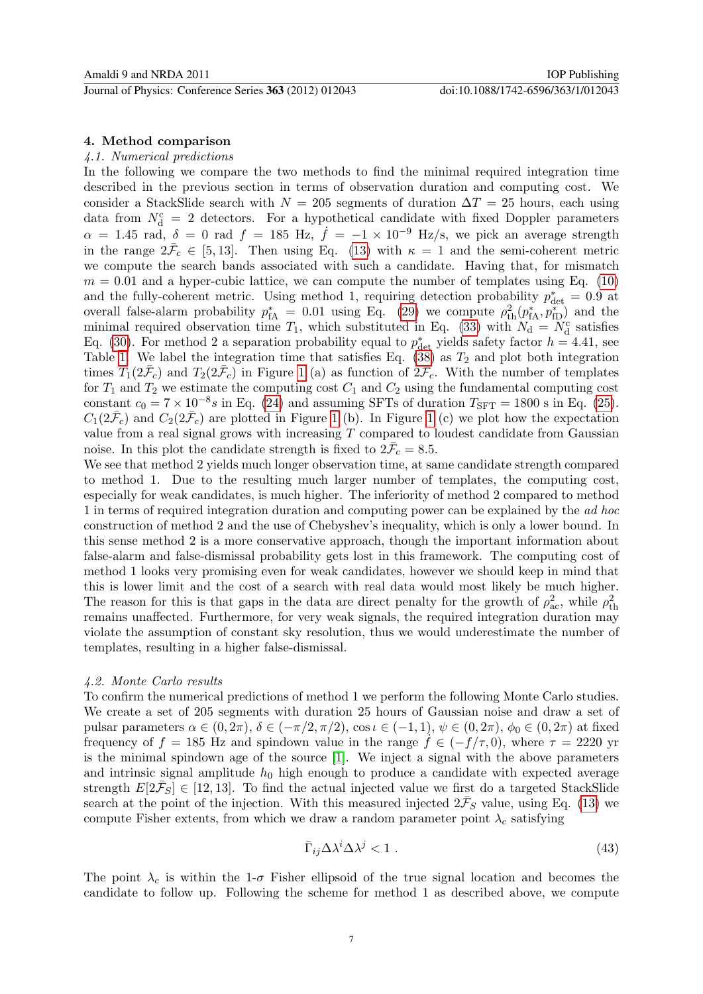# 4. Method comparison

## 4.1. Numerical predictions

In the following we compare the two methods to find the minimal required integration time described in the previous section in terms of observation duration and computing cost. We consider a StackSlide search with  $N = 205$  segments of duration  $\Delta T = 25$  hours, each using data from  $N_d^c = 2$  detectors. For a hypothetical candidate with fixed Doppler parameters  $\alpha = 1.45$  rad,  $\delta = 0$  rad  $f = 185$  Hz,  $\dot{f} = -1 \times 10^{-9}$  Hz/s, we pick an average strength in the range  $2\bar{F}_c \in [5, 13]$ . Then using Eq. [\(13\)](#page-3-0) with  $\kappa = 1$  and the semi-coherent metric we compute the search bands associated with such a candidate. Having that, for mismatch  $m = 0.01$  and a hyper-cubic lattice, we can compute the number of templates using Eq. [\(10\)](#page-3-1) and the fully-coherent metric. Using method 1, requiring detection probability  $p_{\text{det}}^* = 0.9$  at overall false-alarm probability  $p_{\text{fA}}^* = 0.01$  using Eq. [\(29\)](#page-5-1) we compute  $\rho_{\text{th}}^2(p_{\text{fA}}^*, p_{\text{fD}}^*)$  and the minimal required observation time  $T_1$ , which substituted in Eq. [\(33\)](#page-5-2) with  $N_d = N_d^c$  satisfies Eq. [\(30\)](#page-5-3). For method 2 a separation probability equal to  $p_{\text{det}}^*$  yields safety factor  $h = 4.41$ , see Table [1.](#page-6-1) We label the integration time that satisfies Eq.  $(38)$  as  $T_2$  and plot both integration times  $T_1(2\bar{\mathcal{F}}_c)$  and  $T_2(2\bar{\mathcal{F}}_c)$  in Figure [1](#page-8-0) (a) as function of  $2\bar{\mathcal{F}}_c$ . With the number of templates for  $T_1$  and  $T_2$  we estimate the computing cost  $C_1$  and  $C_2$  using the fundamental computing cost constant  $c_0 = 7 \times 10^{-8} s$  in Eq. [\(24\)](#page-4-0) and assuming SFTs of duration  $T_{\text{SFT}} = 1800$  s in Eq. [\(25\)](#page-4-1).  $C_1(2\bar{\mathcal{F}}_c)$  and  $C_2(2\bar{\mathcal{F}}_c)$  are plotted in Figure [1](#page-8-0) (b). In Figure 1 (c) we plot how the expectation value from a real signal grows with increasing  $T$  compared to loudest candidate from Gaussian noise. In this plot the candidate strength is fixed to  $2\bar{F}_c = 8.5$ .

We see that method 2 yields much longer observation time, at same candidate strength compared to method 1. Due to the resulting much larger number of templates, the computing cost, especially for weak candidates, is much higher. The inferiority of method 2 compared to method 1 in terms of required integration duration and computing power can be explained by the ad hoc construction of method 2 and the use of Chebyshev's inequality, which is only a lower bound. In this sense method 2 is a more conservative approach, though the important information about false-alarm and false-dismissal probability gets lost in this framework. The computing cost of method 1 looks very promising even for weak candidates, however we should keep in mind that this is lower limit and the cost of a search with real data would most likely be much higher. The reason for this is that gaps in the data are direct penalty for the growth of  $\rho_{ac}^2$ , while  $\rho_{\text{th}}^2$ remains unaffected. Furthermore, for very weak signals, the required integration duration may violate the assumption of constant sky resolution, thus we would underestimate the number of templates, resulting in a higher false-dismissal.

## 4.2. Monte Carlo results

To confirm the numerical predictions of method 1 we perform the following Monte Carlo studies. We create a set of 205 segments with duration 25 hours of Gaussian noise and draw a set of pulsar parameters  $\alpha \in (0, 2\pi)$ ,  $\delta \in (-\pi/2, \pi/2)$ ,  $\cos \iota \in (-1, 1)$ ,  $\psi \in (0, 2\pi)$ ,  $\phi_0 \in (0, 2\pi)$  at fixed frequency of f = 185 Hz and spindown value in the range  $\dot{f} \in (-f/\tau, 0)$ , where  $\tau = 2220$  yr is the minimal spindown age of the source [\[1\]](#page-9-0). We inject a signal with the above parameters and intrinsic signal amplitude  $h_0$  high enough to produce a candidate with expected average strength  $E[2\bar{F}_S] \in [12, 13]$ . To find the actual injected value we first do a targeted StackSlide search at the point of the injection. With this measured injected  $2\bar{F}_S$  value, using Eq. [\(13\)](#page-3-0) we compute Fisher extents, from which we draw a random parameter point  $\lambda_c$  satisfying

$$
\bar{\Gamma}_{ij}\Delta\lambda^i\Delta\lambda^j < 1\tag{43}
$$

The point  $\lambda_c$  is within the 1- $\sigma$  Fisher ellipsoid of the true signal location and becomes the candidate to follow up. Following the scheme for method 1 as described above, we compute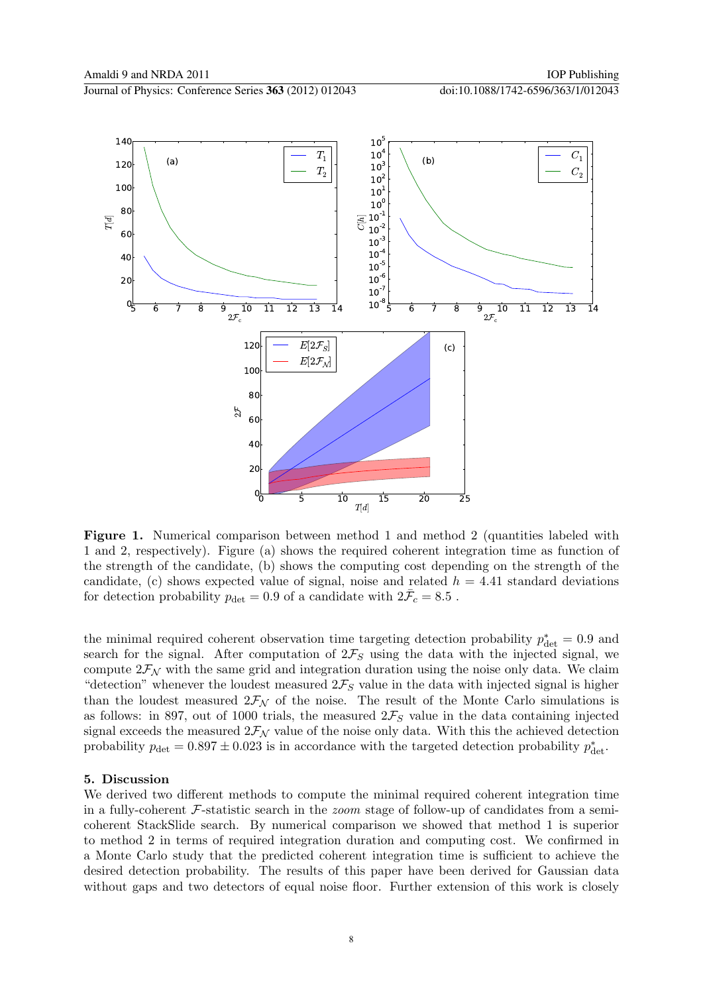

<span id="page-8-0"></span>Figure 1. Numerical comparison between method 1 and method 2 (quantities labeled with 1 and 2, respectively). Figure (a) shows the required coherent integration time as function of the strength of the candidate, (b) shows the computing cost depending on the strength of the candidate, (c) shows expected value of signal, noise and related  $h = 4.41$  standard deviations for detection probability  $p_{\text{det}} = 0.9$  of a candidate with  $2\bar{F}_c = 8.5$ .

the minimal required coherent observation time targeting detection probability  $p_{\text{det}}^* = 0.9$  and search for the signal. After computation of  $2\mathcal{F}_S$  using the data with the injected signal, we compute  $2\mathcal{F}_{N}$  with the same grid and integration duration using the noise only data. We claim "detection" whenever the loudest measured  $2\mathcal{F}_S$  value in the data with injected signal is higher than the loudest measured  $2\mathcal{F}_{\mathcal{N}}$  of the noise. The result of the Monte Carlo simulations is as follows: in 897, out of 1000 trials, the measured  $2\mathcal{F}_S$  value in the data containing injected signal exceeds the measured  $2\mathcal{F}_{N}$  value of the noise only data. With this the achieved detection probability  $p_{\text{det}} = 0.897 \pm 0.023$  is in accordance with the targeted detection probability  $p_{\text{det}}^*$ .

## 5. Discussion

We derived two different methods to compute the minimal required coherent integration time in a fully-coherent  $\mathcal F$ -statistic search in the *zoom* stage of follow-up of candidates from a semicoherent StackSlide search. By numerical comparison we showed that method 1 is superior to method 2 in terms of required integration duration and computing cost. We confirmed in a Monte Carlo study that the predicted coherent integration time is sufficient to achieve the desired detection probability. The results of this paper have been derived for Gaussian data without gaps and two detectors of equal noise floor. Further extension of this work is closely